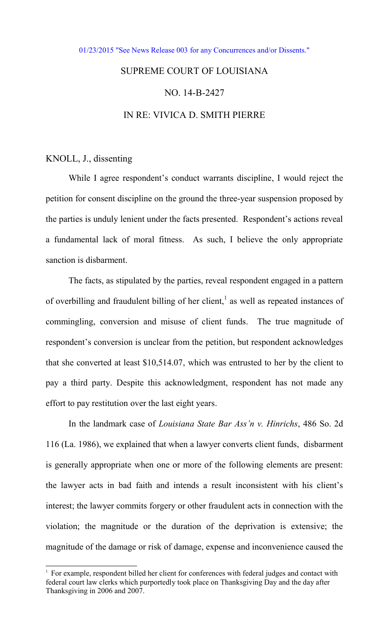[01/23/2015 "See News Release 003 for any Concurrences and/or Dissents."](http://www.lasc.org/Actions?p=2015-003) 

## SUPREME COURT OF LOUISIANA NO. 14-B-2427

## IN RE: VIVICA D. SMITH PIERRE

## KNOLL, J., dissenting

 $\overline{a}$ 

 While I agree respondent's conduct warrants discipline, I would reject the petition for consent discipline on the ground the three-year suspension proposed by the parties is unduly lenient under the facts presented. Respondent's actions reveal a fundamental lack of moral fitness. As such, I believe the only appropriate sanction is disbarment.

 The facts, as stipulated by the parties, reveal respondent engaged in a pattern of overbilling and fraudulent billing of her client, $<sup>1</sup>$  as well as repeated instances of</sup> commingling, conversion and misuse of client funds. The true magnitude of respondent's conversion is unclear from the petition, but respondent acknowledges that she converted at least \$10,514.07, which was entrusted to her by the client to pay a third party. Despite this acknowledgment, respondent has not made any effort to pay restitution over the last eight years.

 In the landmark case of *Louisiana State Bar Ass'n v. Hinrichs*, 486 So. 2d 116 (La. 1986), we explained that when a lawyer converts client funds, disbarment is generally appropriate when one or more of the following elements are present: the lawyer acts in bad faith and intends a result inconsistent with his client's interest; the lawyer commits forgery or other fraudulent acts in connection with the violation; the magnitude or the duration of the deprivation is extensive; the magnitude of the damage or risk of damage, expense and inconvenience caused the

<sup>&</sup>lt;sup>1</sup> For example, respondent billed her client for conferences with federal judges and contact with federal court law clerks which purportedly took place on Thanksgiving Day and the day after Thanksgiving in 2006 and 2007.